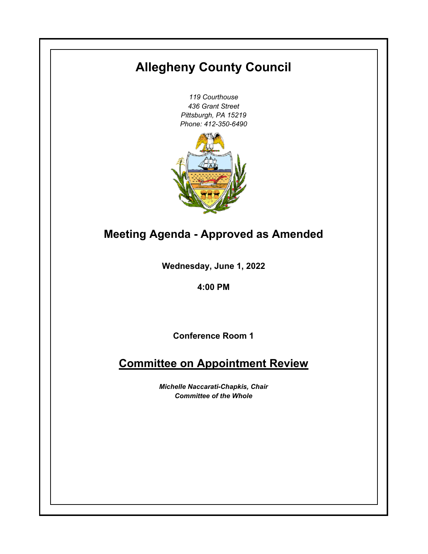# **Allegheny County Council**

*119 Courthouse 436 Grant Street Pittsburgh, PA 15219 Phone: 412-350-6490*



## **Meeting Agenda - Approved as Amended**

**Wednesday, June 1, 2022**

**4:00 PM**

**Conference Room 1**

### **Committee on Appointment Review**

*Michelle Naccarati-Chapkis, Chair Committee of the Whole*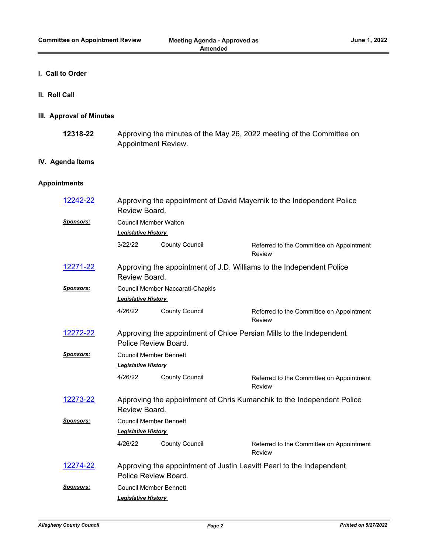#### **I. Call to Order**

**II. Roll Call**

#### **III. Approval of Minutes**

Approving the minutes of the May 26, 2022 meeting of the Committee on Appointment Review. **12318-22**

#### **IV. Agenda Items**

#### **Appointments**

| Referred to the Committee on Appointment                                                     |  |  |  |  |
|----------------------------------------------------------------------------------------------|--|--|--|--|
|                                                                                              |  |  |  |  |
|                                                                                              |  |  |  |  |
|                                                                                              |  |  |  |  |
| Approving the appointment of J.D. Williams to the Independent Police<br>Review Board.        |  |  |  |  |
| Council Member Naccarati-Chapkis                                                             |  |  |  |  |
| <b>Legislative History</b>                                                                   |  |  |  |  |
| Referred to the Committee on Appointment                                                     |  |  |  |  |
| Approving the appointment of Chloe Persian Mills to the Independent<br>Police Review Board.  |  |  |  |  |
| <b>Council Member Bennett</b>                                                                |  |  |  |  |
| <b>Legislative History</b>                                                                   |  |  |  |  |
| Referred to the Committee on Appointment                                                     |  |  |  |  |
| Approving the appointment of Chris Kumanchik to the Independent Police<br>Review Board.      |  |  |  |  |
| <b>Council Member Bennett</b>                                                                |  |  |  |  |
| <b>Legislative History</b>                                                                   |  |  |  |  |
| Referred to the Committee on Appointment                                                     |  |  |  |  |
| Approving the appointment of Justin Leavitt Pearl to the Independent<br>Police Review Board. |  |  |  |  |
| <b>Council Member Bennett</b>                                                                |  |  |  |  |
|                                                                                              |  |  |  |  |
|                                                                                              |  |  |  |  |